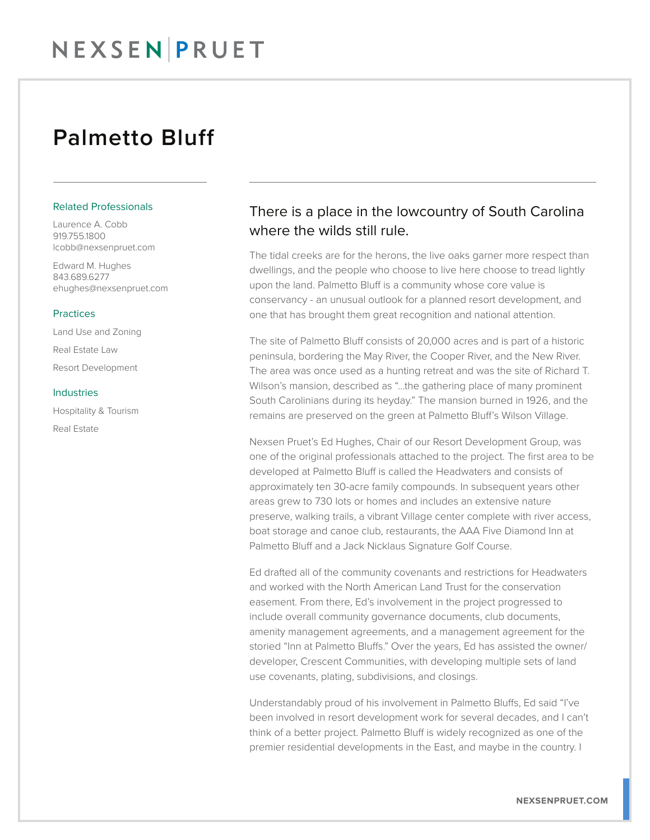## Palmetto Bluff

#### Related Professionals

Laurence A. Cobb 919.755.1800 lcobb@nexsenpruet.com

Edward M. Hughes 843.689.6277 ehughes@nexsenpruet.com

#### Practices

Land Use and Zoning

Real Estate Law Resort Development

#### Industries

Hospitality & Tourism Real Estate

### There is a place in the lowcountry of South Carolina where the wilds still rule.

The tidal creeks are for the herons, the live oaks garner more respect than dwellings, and the people who choose to live here choose to tread lightly upon the land. Palmetto Bluff is a community whose core value is conservancy - an unusual outlook for a planned resort development, and one that has brought them great recognition and national attention.

The site of Palmetto Bluff consists of 20,000 acres and is part of a historic peninsula, bordering the May River, the Cooper River, and the New River. The area was once used as a hunting retreat and was the site of Richard T. Wilson's mansion, described as "…the gathering place of many prominent South Carolinians during its heyday." The mansion burned in 1926, and the remains are preserved on the green at Palmetto Bluff's Wilson Village.

Nexsen Pruet's Ed Hughes, Chair of our Resort Development Group, was one of the original professionals attached to the project. The first area to be developed at Palmetto Bluff is called the Headwaters and consists of approximately ten 30-acre family compounds. In subsequent years other areas grew to 730 lots or homes and includes an extensive nature preserve, walking trails, a vibrant Village center complete with river access, boat storage and canoe club, restaurants, the AAA Five Diamond Inn at Palmetto Bluff and a Jack Nicklaus Signature Golf Course.

Ed drafted all of the community covenants and restrictions for Headwaters and worked with the North American Land Trust for the conservation easement. From there, Ed's involvement in the project progressed to include overall community governance documents, club documents, amenity management agreements, and a management agreement for the storied "Inn at Palmetto Bluffs." Over the years, Ed has assisted the owner/ developer, Crescent Communities, with developing multiple sets of land use covenants, plating, subdivisions, and closings.

Understandably proud of his involvement in Palmetto Bluffs, Ed said "I've been involved in resort development work for several decades, and I can't think of a better project. Palmetto Bluff is widely recognized as one of the premier residential developments in the East, and maybe in the country. I